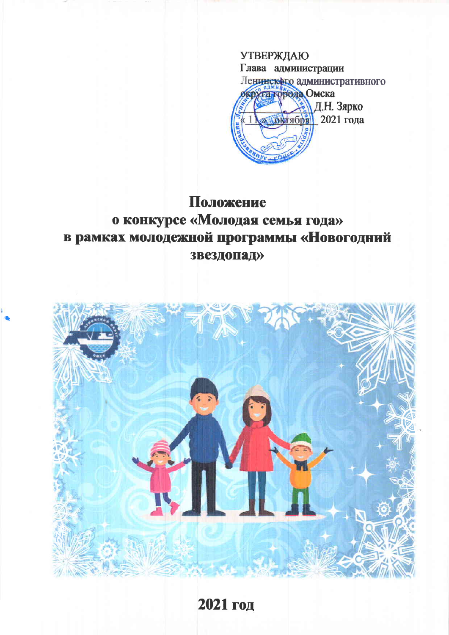

# Положение о конкурсе «Молодая семья года» в рамках молодежной программы «Новогодний звездопад»



2021 год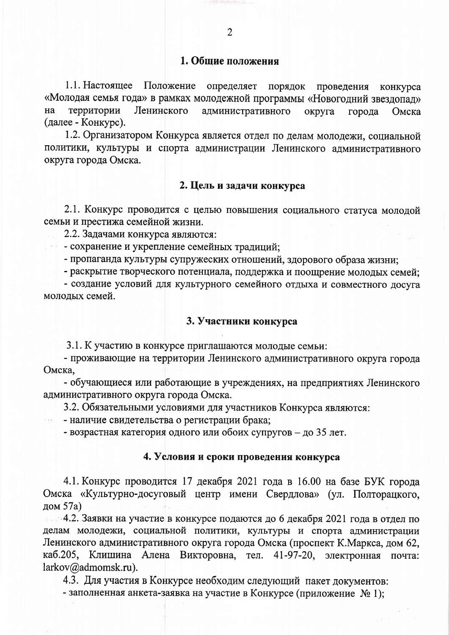1.1. Настоящее Положение определяет порядок проведения конкурса «Молодая семья года» в рамках молодежной программы «Новогодний звездопад» на территории Ленинского административного округа города Омска (далее - Конкурс).

1.2. Организатором Конкурса является отдел по делам молодежи, социальной политики, культуры и спорта администрации Ленинского административного округа города Омска.

## 2. Цель и задачи конкурса

2.1. Конкурс проводится с целью повышения социального статуса молодой семьи и престижа семейной жизни.

2.2. Задачами конкурса являются:

- сохранение и укрепление семейных традиций;

- пропаганда культуры супружеских отношений, здорового образа жизни;

- раскрытие творческого потенциала, поддержка и поощрение молодых семей;

- создание условий для культурного семейного отдыха и совместного досуга молодых семей.

#### 3. Участники конкурса

3.1. К участию в конкурсе приглашаются молодые семьи:

- проживающие на территории Ленинского административного округа города Омска.

- обучающиеся или работающие в учреждениях, на предприятиях Ленинского административного округа города Омска.

3.2. Обязательными условиями для участников Конкурса являются:

- наличие свидетельства о регистрации брака;

 $\sim 100$ 

- возрастная категория одного или обоих супругов - до 35 лет.

#### 4. Условия и сроки проведения конкурса

4.1. Конкурс проводится 17 декабря 2021 года в 16.00 на базе БУК города Омска «Культурно-досуговый центр имени Свердлова» (ул. Полторацкого, дом 57а)

4.2. Заявки на участие в конкурсе подаются до 6 декабря 2021 года в отдел по делам молодежи, социальной политики, культуры и спорта администрации Ленинского административного округа города Омска (проспект К. Маркса, дом 62, каб.205, Клишина Алена Викторовна, тел. 41-97-20, электронная почта: larkov@admomsk.ru).

4.3. Для участия в Конкурсе необходим следующий пакет документов:

- заполненная анкета-заявка на участие в Конкурсе (приложение № 1);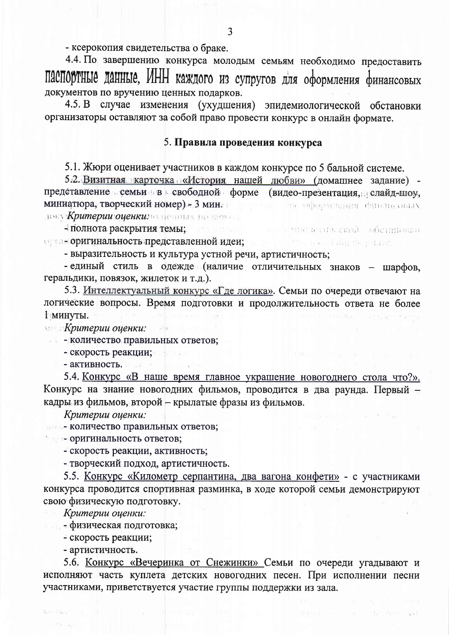- ксерокопия свидетельства о браке.

4.4. По завершению конкурса молодым семьям необходимо предоставить ПАСПОРТНЫЕ ДАННЫЕ, ИНН каждого из супругов для оформления финансовых документов по вручению ценных подарков.

4.5. В случае изменения (ухудшения) эпидемиологической обстановки организаторы оставляют за собой право провести конкурс в онлайн формате.

## 5. Правила проведения конкурса

5.1. Жюри оценивает участников в каждом конкурсе по 5 бальной системе.

5.2. Визитная карточка «История нашей любви» (домашнее задание) представление семьи в свободной форме (видео-презентация, слайд-шоу, миниатюра, творческий номер) - 3 мин. полно в на оформления финансовых воку Критерии оценкимо пенитах на помога.

- полнота раскрытия темы; и и и и и и a stelle a contrata decimenta орган оригинальность представленной идеи; политический и народной и

- выразительность и культура устной речи, артистичность;

- единый стиль в одежде (наличие отличительных знаков - шарфов, геральдики, повязок, жилеток и т.д.).

5.3. Интеллектуальный конкурс «Где логика». Семьи по очереди отвечают на логические вопросы. Время подготовки и продолжительность ответа не более 1 минуты.

**Митерии оценки:** 

- количество правильных ответов;

 $\pi$  and  $\pi$  is the set of  $\pi$ 

- скорость реакции;

- активность.

5.4. Конкурс «В наше время главное украшение новогоднего стола что?». Конкурс на знание новогодних фильмов, проводится в два раунда. Первый кадры из фильмов, второй - крылатые фразы из фильмов.

Критерии оценки:

- количество правильных ответов;

• оригинальность ответов;

- скорость реакции, активность;

- творческий подход, артистичность.

5.5. Конкурс «Километр серпантина, два вагона конфети» - с участниками конкурса проводится спортивная разминка, в ходе которой семьи демонстрируют свою физическую подготовку.

Критерии оценки:

- физическая подготовка;

- скорость реакции;

- артистичность.

5.6. Конкурс «Вечеринка от Снежинки» Семьи по очереди угадывают и исполняют часть куплета детских новогодних песен. При исполнении песни участниками, приветствуется участие группы поддержки из зала.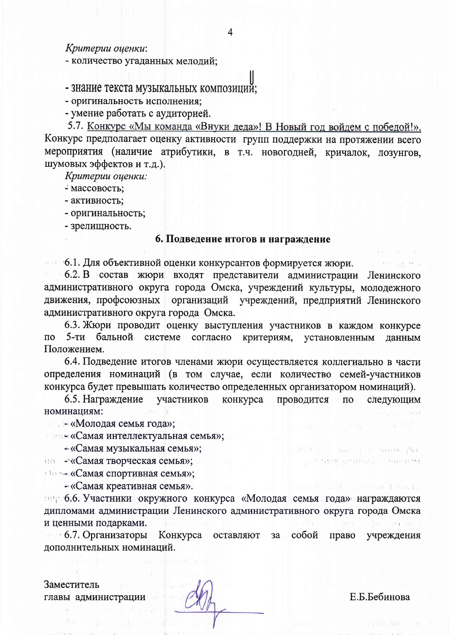Критерии оценки:

- количество угаданных мелодий;

# - знание текста музыкальных композиций;

- оригинальность исполнения;

- умение работать с аудиторией.

5.7. Конкурс «Мы команда «Внуки деда»! В Новый год войдем с победой!». Конкурс предполагает оценку активности групп поддержки на протяжении всего мероприятия (наличие атрибутики, в т.ч. новогодней, кричалок, лозунгов, шумовых эффектов и т.д.).

Критерии оценки:

- массовость:
- активность;
- оригинальность;

- зрелищность.

## 6. Подведение итогов и награждение

• 6.1. Для объективной оценки конкурсантов формируется жюри.

6.2. В состав жюри входят представители администрации Ленинского административного округа города Омска, учреждений культуры, молодежного движения, профсоюзных организаций учреждений, предприятий Ленинского административного округа города Омска.

6.3. Жюри проводит оценку выступления участников в каждом конкурсе 5-ти бальной системе согласно критериям, установленным  $\overline{u}$ данным Положением.

6.4. Подведение итогов членами жюри осуществляется коллегиально в части определения номинаций (в том случае, если количество семей-участников конкурса будет превышать количество определенных организатором номинаций).

6.5. Награждение участников конкурса проводится следующим  $\Pi$ <sup>o</sup> номинациям:

— «Молодая семья года»;

и и в «Самая интеллектуальная семья»;

- «Самая музыкальная семья»;

на - «Самая творческая семья»;

**(Boode «Самая спортивная семья»;** 

«Самая креативная семья».

сироб.6. Участники окружного конкурса «Молодая семья года» награждаются дипломами администрации Ленинского административного округа города Омска и ценными подарками.

• 6.7. Организаторы Конкурса собой оставляют за право учреждения дополнительных номинаций.

Заместитель главы администрации

Е.Б.Бебинова

post it is both put

1941-1978

**TRAB ROBERT**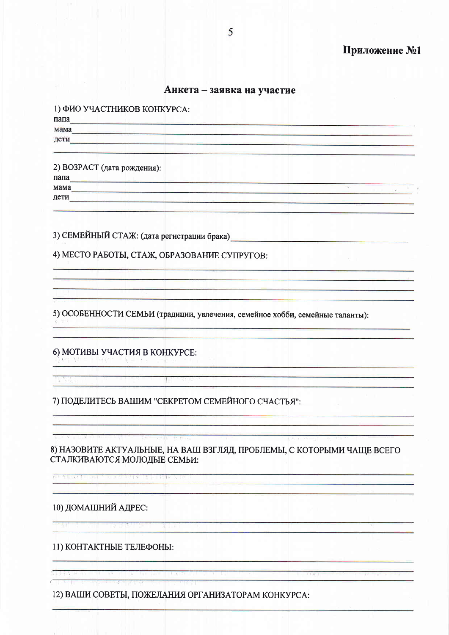## Анкета - заявка на участие

| 1) ФИО УЧАСТНИКОВ КОНКУРСА:                  |  |
|----------------------------------------------|--|
| папа                                         |  |
| мама                                         |  |
| дети                                         |  |
| 2) ВОЗРАСТ (дата рождения):<br>папа          |  |
| мама                                         |  |
| дети                                         |  |
| 3) СЕМЕЙНЫЙ СТАЖ: (дата регистрации брака)_  |  |
| 4) МЕСТО РАБОТЫ, СТАЖ, ОБРАЗОВАНИЕ СУПРУГОВ: |  |
|                                              |  |

5) ОСОБЕННОСТИ СЕМЬИ (традиции, увлечения, семейное хобби, семейные таланты):

#### 6) МОТИВЫ УЧАСТИЯ В КОНКУРСЕ: ited with a leading a state of the se-

<u>experimental programmation</u>

**Tartif** 

7) ПОДЕЛИТЕСЬ ВАШИМ "СЕКРЕТОМ СЕМЕЙНОГО СЧАСТЬЯ":

一起

8) НАЗОВИТЕ АКТУАЛЬНЫЕ, НА ВАШ ВЗГЛЯД, ПРОБЛЕМЫ, С КОТОРЫМИ ЧАЩЕ ВСЕГО СТАЛКИВАЮТСЯ МОЛОДЫЕ СЕМЬИ:

 $\begin{array}{c} \begin{array}{c} \text{if} \quad \text{if} \quad \text{if} \quad \text{if} \quad \text{if} \quad \text{if} \quad \text{if} \quad \text{if} \quad \text{if} \quad \text{if} \quad \text{if} \quad \text{if} \quad \text{if} \quad \text{if} \quad \text{if} \quad \text{if} \quad \text{if} \quad \text{if} \quad \text{if} \quad \text{if} \quad \text{if} \quad \text{if} \quad \text{if} \quad \text{if} \quad \text{if} \quad \text{if} \quad \text{if} \quad \text{if} \quad \text{if} \quad \text{$ 

 $\mathbb{E}[\mathbb{E}[\mathcal{N}]\mathbb{E}[\mathbb{E}[\mathcal{N}]\mathbb{E}[\mathbb{E}[\mathbb{E}[\mathcal{N}]\mathbb{E}[\mathbb{E}[\mathbb{E}[\mathbb{E}[\mathbb{E}[\mathbb{E}[\mathbb{E}[\mathbb{E}[\mathbb{E}[\mathbb{E}[\mathbb{E}[\mathbb{E}[\mathbb{E}[\mathbb{E}[\mathbb{E}[\mathbb{E}[\mathbb{E}[\mathbb{E}[\mathbb{E}[\mathbb{E}[\mathbb{E}[\mathbb{E}[\mathbb{E}[\mathbb{E}[\mathbb{E}[\mathbb{E}[\mathbb{$ उत्तम । इ. १

# 10) ДОМАШНИЙ АДРЕС:

11) КОНТАКТНЫЕ ТЕЛЕФОНЫ:

12) ВАШИ СОВЕТЫ, ПОЖЕЛАНИЯ ОРГАНИЗАТОРАМ КОНКУРСА: